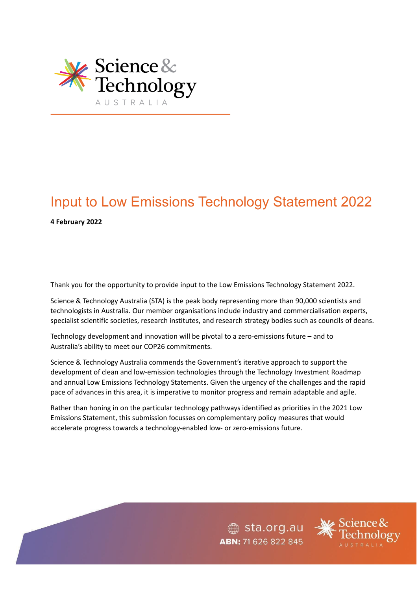

## Input to Low Emissions Technology Statement 2022 **4 February 2022**

Thank you for the opportunity to provide input to the Low Emissions Technology Statement 2022.

Science & Technology Australia (STA) is the peak body representing more than 90,000 scientists and technologists in Australia. Our member organisations include industry and commercialisation experts, specialist scientific societies, research institutes, and research strategy bodies such as councils of deans.

Technology development and innovation will be pivotal to a zero-emissions future – and to Australia's ability to meet our COP26 commitments.

Science & Technology Australia commends the Government's iterative approach to support the development of clean and low-emission technologies through the Technology Investment Roadmap and annual Low Emissions Technology Statements. Given the urgency of the challenges and the rapid pace of advances in this area, it is imperative to monitor progress and remain adaptable and agile.

Rather than honing in on the particular technology pathways identified as priorities in the 2021 Low Emissions Statement, this submission focusses on complementary policy measures that would accelerate progress towards a technology-enabled low- or zero-emissions future.

> $\textcircled{\tiny\textcircled{\tiny\textcircled{\tiny\textcirc}}}$  sta.org.au ABN: 71 626 822 845

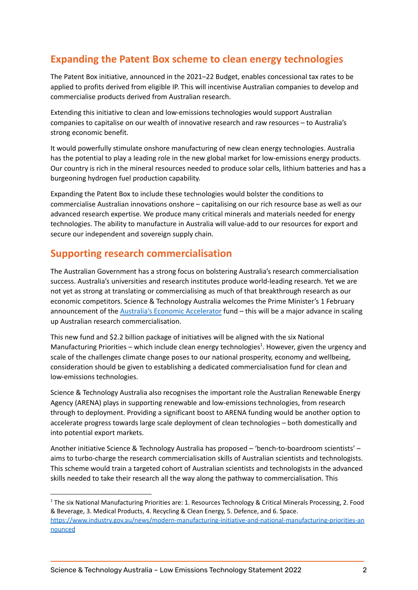## **Expanding the Patent Box scheme to clean energy technologies**

The Patent Box initiative, announced in the 2021–22 Budget, enables concessional tax rates to be applied to profits derived from eligible IP. This will incentivise Australian companies to develop and commercialise products derived from Australian research.

Extending this initiative to clean and low-emissions technologies would support Australian companies to capitalise on our wealth of innovative research and raw resources – to Australia's strong economic benefit.

It would powerfully stimulate onshore manufacturing of new clean energy technologies. Australia has the potential to play a leading role in the new global market for low-emissions energy products. Our country is rich in the mineral resources needed to produce solar cells, lithium batteries and has a burgeoning hydrogen fuel production capability.

Expanding the Patent Box to include these technologies would bolster the conditions to commercialise Australian innovations onshore – capitalising on our rich resource base as well as our advanced research expertise. We produce many critical minerals and materials needed for energy technologies. The ability to manufacture in Australia will value-add to our resources for export and secure our independent and sovereign supply chain.

## **Supporting research commercialisation**

The Australian Government has a strong focus on bolstering Australia's research commercialisation success. Australia's universities and research institutes produce world-leading research. Yet we are not yet as strong at translating or commercialising as much of that breakthrough research as our economic competitors. Science & Technology Australia welcomes the Prime Minister's 1 February announcement of the Australia's Economic [Accelerator](https://www.pm.gov.au/media/australias-economic-accelerator-propel-economy) fund – this will be a major advance in scaling up Australian research commercialisation.

This new fund and \$2.2 billion package of initiatives will be aligned with the six National Manufacturing Priorities – which include clean energy technologies<sup>1</sup>. However, given the urgency and scale of the challenges climate change poses to our national prosperity, economy and wellbeing, consideration should be given to establishing a dedicated commercialisation fund for clean and low-emissions technologies.

Science & Technology Australia also recognises the important role the Australian Renewable Energy Agency (ARENA) plays in supporting renewable and low-emissions technologies, from research through to deployment. Providing a significant boost to ARENA funding would be another option to accelerate progress towards large scale deployment of clean technologies – both domestically and into potential export markets.

Another initiative Science & Technology Australia has proposed – 'bench-to-boardroom scientists' – aims to turbo-charge the research commercialisation skills of Australian scientists and technologists. This scheme would train a targeted cohort of Australian scientists and technologists in the advanced skills needed to take their research all the way along the pathway to commercialisation. This

<sup>&</sup>lt;sup>1</sup> The six National Manufacturing Priorities are: 1. Resources Technology & Critical Minerals Processing, 2. Food & Beverage, 3. Medical Products, 4. Recycling & Clean Energy, 5. Defence, and 6. Space.

[https://www.industry.gov.au/news/modern-manufacturing-initiative-and-national-manufacturing-priorities-an](https://www.industry.gov.au/news/modern-manufacturing-initiative-and-national-manufacturing-priorities-announced) [nounced](https://www.industry.gov.au/news/modern-manufacturing-initiative-and-national-manufacturing-priorities-announced)